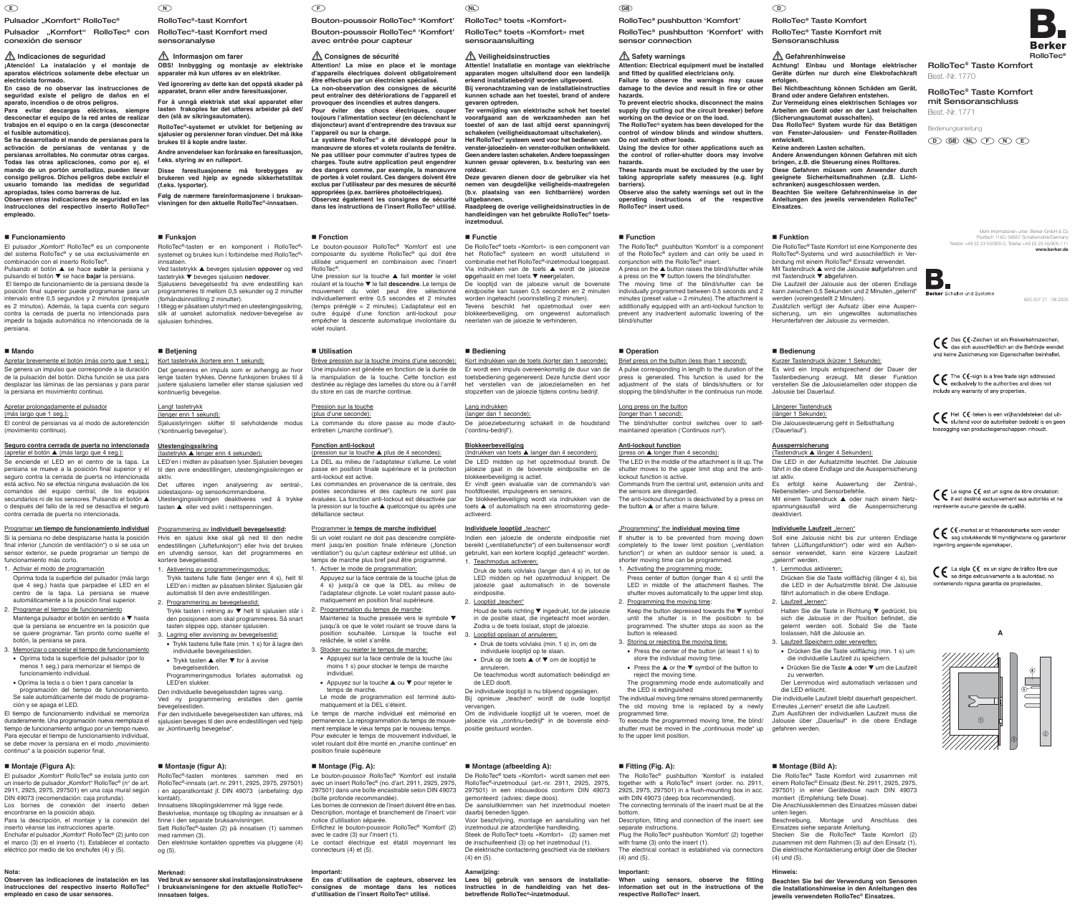Pulsador "Komfort" RolloTec®

Mehr Informationen unter: Berker GmbH & Co Postfach 1160, 58567 Schalksmühle/Germany Telefon +49 (0) 23 55/905-0, Telefax +49 (0) 23 55/905-111 **www.berker.de**



825 507 21 08.2005

CC Das CC-Zeichen ist ein Freiverkehrszeichen,<br>das sich ausschließlich an die Behörde wendet und keine Zusicherung von Eigenschaften beinhaltet.

CC The CC-sign is a free trade sign addressed<br>exclusively to the authorities and does not include any warranty of any properties.

CC Het CC-teken is een vrijhandelsteken dat uit-<br>sluitend voor de autoriteiten bedoeld is en geen toezegging van producteigenschappen inhoudt.

CE Le signe CE est un signe de libre circulation:<br>il est destiné exclusivement aux autorités et ne représente aucune garantie de qualité.

ingenting angaende egenskaper.

CC La sigla CC es un signo de tráfico libre que<br>se dirige exicusivamente a la autoridad, no conteniendo niguna garantia de propiedades.

RolloTec® Taste Komfort mit Sensoranschluss

#### **Gefahrenhinweise**

**Achtung! Einbau und Montage elektrischer Geräte dürfen nur durch eine Elektrofachkraft erfolgen.**

**Bei Nichtbeachtung können Schäden am Gerät, Brand oder andere Gefahren entstehen. Zur Vermeidung eines elektrischen Schlages vor Arbeiten am Gerät oder an der Last freischalten (Sicherungsautomat ausschalten).**

**Das RolloTec**® **System wurde für das Betätigen von Fenster-Jalousien- und Fenster-Rollladen entwickelt. Keine anderen Lasten schalten.**

**Andere Anwendungen können Gefahren mit sich bringen, z.B. die Steuerung eines Rolltores. Diese Gefahren müssen vom Anwender durch**

**geeignete Sicherheitsmaßnahmen (z.B. Lichtschranken) ausgeschlossen werden. Beachten Sie weitere Gefahrenhinweise in der**

**Anleitungen des jeweils verwendeten RolloTec**® **Einsatzes.**

#### **Funktion**

Soll eine Jalousie nicht bis zur unteren Endlage fahren ("Lüftungsfunktion") oder wird ein Außensensor verwendet, kann eine kürzere Laufzeit "gelernt" werden.

Die RolloTec® Taste Komfort ist eine Komponente des RolloTec®-Systems und wird ausschließlich in Verbindung mit einem RolloTec® Einsatz verwendet. Mit Tastendruck ▲ wird die Jalousie **auf**gefahren und mit Tastendruck ▼ **ab**gefahren. Die Laufzeit der Jalousie aus der oberen Endlage kann zwischen 0,5 Sekunden und 2 Minuten "gelernt" werden (voreingestellt 2 Minuten).

Zusätzlich verfügt der Aufsatz über eine Ausperrsicherung, um ein ungewolltes automatisches Herunterfahren der Jalousie zu vermeiden.

#### **Bedienung**

Zum Ausführen der individuellen Laufzeit muss die To execute the programmed moving time, the blind/ Jalousie über "Dauerlauf" in die obere Endlage

Kurzer Tastendruck (kürzer 1 Sekunde): Es wird ein Impuls entsprechend der Dauer der Tastenbedienung erzeugt. Mit dieser Funktion verstellen Sie die Jalousielamellen oder stoppen die

Jalousie bei Dauerlauf.

#### Längerer Tastendruck

(länger 1 Sekunde): Die Jalousiesteuerung geht in Selbsthaltung ('Dauerlauf').

#### **Aussperrsicherung**

(Tastendruck ▲ länger 4 Sekunden): Die LED in der Aufsatzmitte leuchtet. Die Jalousie fährt in die obere Endlage und die Aussperrsicherung ist aktiv.

RolloTec® Taste Komfort **D**

Es erfolgt keine Auswertung der Zentral-, Nebenstellen- und Sensorbefehle.

Mit einem Tastendruck ▲ oder nach einem Netzspannungsausfall wird die Aussperrsicherung deaktiviert.

#### **Individuelle Laufzeit** "lernen"

The RolloTec® pushbutton 'Komfort' is a component of the RolloTec® system and can only be used in conjunction with the RolloTec® insert. A press on the ▲ button raises the blind/shutter while

1. Lernmodus aktivieren:

Drücken Sie die Taste vollflächig (länger 4 s), bis die LED in der Aufsatzmitte blinkt. Die Jalousie fährt automatisch in die obere Endlage.

2. Laufzeit "lernen":

Halten Sie die Taste in Richtung ▼ gedrückt, bis sich die Jalousie in der Position befindet, die gelernt werden soll. Sobald Sie die Taste loslassen, hält die Jalousie an.

3. Laufzeit Speichern oder verwerfen:

• Drücken Sie die Taste vollflächig (min. 1 s) um die individuelle Laufzeit zu speichern. • Drücken Sie die Taste ▲ oder ▼ um die Laufzeit

zu verwerfen. Der Lernmodus wird automatisch verlassen und die LED erlischt.

The individual moving time remains stored permanently. Die individuelle Laufzeit bleibt dauerhaft gespeichert. The old moving time is replaced by a newly Erneutes "Lernen" ersetzt die alte Laufzeit.

The anti-lockout function is deactivated by a press on the button ▲ or after a mains failure.

#### **Montage (Bild A):**

Die RolloTec® Taste Komfort wird zusammen mit einem RolloTec® Einsatz (Best. Nr. 2911, 2925, 2975, 297501) in einer Gerätedose nach DIN 49073 montiert (Empfehlung: tiefe Dose). Die Anschlussklemmen des Einsatzes müssen dabei

unten liegen. Beschreibung, Montage und Anschluss des

Einsatzes siehe separate Anleitung. Stecken Sie die RolloTec® Taste Komfort (2) zusammen mit dem Rahmen (3) auf den Einsatz (1). Die elektrische Kontaktierung erfolgt über die Stecker (4) und (5).

#### **Hinweis:**

**Beachten Sie bei der Verwendung von Sensoren die Installationshinweise in den Anleitungen des jeweils verwendeten RolloTec**® **Einsatzes.**

### RolloTec® pushbutton 'Komfort'

RolloTec® pushbutton 'Komfort' with

sensor connection

**1** Safety warnings

**Attention: Electrical equipment must be installed and fitted by qualified electricians only. Failure to observe the warnings may cause damage to the device and result in fire or other**

**hazards.**

**To prevent electric shocks, disconnect the mains supply (by cutting out the circuit breaker) before**

**working on the device or on the load. The RolloTec**® **system has been developed for the control of window blinds and window shutters. Do not switch other loads.**

**Using the device for other applications such as the control of roller-shutter doors may involve**

**hazards.**

**These hazards must be excluded by the user by taking appropriate safety measures (e.g. light**

**barriers).**

**Observe also the safety warnings set out in the operating instructions of the respective**

**RolloTec**® **insert used.**

 **Function**

a press on the ▼ button lowers the blind/shutter. The moving time of the blind/shutter can be

Indien een jaloezie de onderste eindpositie niet bereikt ("ventilatiefunctie") of een buitensensor wordt gebruikt, kan een kortere looptijd "geteacht" worden.

individually programmed between 0.5 seconds and 2 minutes (preset value = 2 minutes). The attachment is additionally equipped with an anti-lockout function to prevent any inadvertent automatic lowering of the

eindpositie. 2. Looptiid ..teachen" blind/shutter

■ Operation

Brief press on the button (less than 1 second):

De individuele looptijd is nu blijvend opgeslagen. Bij opnieuw "teachen" wordt de oude looptijd A pulse corresponding in length to the duration of the press is generated. This function is used for the adjustment of the slats of blinds/shutters or for stopping the blind/shutter in the continuous run mode.

Om de individuele looptijd uit te voeren, moet de jaloezie via "continu-bedrijf" in de bovenste eindLong press on the button (longer than 1 second):

The blind/shutter control switches over to selfmaintained operation ('Continuos run").

**Anti-lockout function**

(press on ▲ longer than 4 seconds):

The LED in the middle of the attachment is lit up. The shutter moves to the upper limit stop and the anti-

lockout function is active.

button is released

Commands from the central unit, extension units and the sensors are disregarded.

#### "Programming" the **individual moving time**

If shutter is to be prevented from moving down completely to the lower limit position ("ventilation function") or when an outdoor sensor is used, a shorter moving time can be programmed. 1. Activating the programming mode:

#### Press center of button (longer than 4 s) until the LED in middle of the attachment flashes. The shutter moves automatically to the upper limit stop.

2. Programming the moving time: Keep the button depressed towards the ▼ symbol until the shutter is in the positiobn to be programmed. The shutter stops as soon as the

#### 3. Storing or rejecting the moving time:

• Press the center of the button (at least 1 s) to store the individual moving time.

• Press the ▲ or the ▼ symbol of the button to reject the moving time.

La commande du store passe au mode d'autoentretien ("marche continue").

The programming mode ends automatically and

shutter must be moved in the "continuous mode" up gefahren werden.

the LED is extinguished

programmed time.

to the upper limit position.

 **Fitting (Fig. A):**

ment jusqu'en position finale inférieure ("fonction ventilation") ou qu'un capteur extérieur est utilisé, un temps de marche plus bref peut être programmé.

> The RolloTec® pushbutton 'Komfort' is installed together with a RolloTec® insert (order. no. 2911, 2925, 2975, 297501) in a flush-mounting box in acc. with DIN 49073 (deep box recommended). The connecting terminals of the insert must be at the

bottom.

Description, fitting and connection of the insert: see

separate instructions.

Plug the RolloTec® pushbutton 'Komfort' (2) together with frame (3) onto the insert (1).

The electrical contact is established via connectors

(4) and (5). **Important:**

Før den individuelle bevegelsestiden kan utføres, må ble temps de marche individuel est mémorisé en permanence. La reprogrammation du temps de mouvement remplace le vieux temps par le nouveau temps. Pour exécuter le temps de mouvement individuel, le volet roulant doit être monté en "marche continue" en position finale supérieure

> **When using sensors, observe the fitting information set out in the instructions of the respective RolloTec**® **insert.**

RolloTec® toets «Komfort»

RolloTec® toets «Komfort» met

sensoraansluiting

**Veiligheidsinstructies**

**Attentie! Installatie en montage van elektrische apparaten mogen uitsluitend door een landelijk erkend installatiebedrijf worden uitgevoerd. Bij veronachtzaming van de installatieinstructies kunnen schade aan het toestel, brand of andere**

**gevaren optreden.**

**Ter vermijding van elektrische schok het toestel voorafgaand aan de werkzaamheden aan het toestel of aan de last altijd eerst spanningvrij schakelen (veiligheidsautomaat uitschakelen). Het RolloTec**® **systeem werd voor het bedienen van venster-jaloezieën- en venster-rolluiken ontwikkeld. Geen andere lasten schakelen. Andere toepassingen kunnen gevaar opleveren, b.v. besturing van een**

Ved tastetrykk ▲ beveges sjalusien **oppover** og ved tastetrykk ▼ beveges sjalusien **nedover**. Sialusiens bevegelsestid fra øvre endestilling kan **roldeur.**

**Deze gevaren dienen door de gebruiker via het nemen van deugdelijke veiligheids-maatregelen (b.v. plaatsing van een lichtbarrière) worden**

**uitgebannen.**

**Raadpleeg de overige veiligheidsinstructies in de handleidingen van het gebruikte RolloTec**® **toets-**

**inzetmoduul.**

 **Functie**

De RolloTec® toets «Komfort» is een component van het RolloTec® systeem en wordt uitsluitend in combinatie met het RolloTec®-inzetmoduul toegepast. Via indrukken van de toets ▲ wordt de jaloezie

**op**gehaald en met toets ▼ **neer**gelaten.

De looptijd van de jaloezie vanuit de bovenste eindpositie kan tussen 0,5 seconden en 2 minuten worden ingeteacht (voorinstelling 2 minuten). Tevens beschikt het opzetmoduul over blokkeerbeveiliging, om ongewenst automatisch

neerlaten van de jaloezie te verhinderen.

 **Bediening**

Kort indrukken van de toets (korter dan 1 seconde): Er wordt een impuls overeenkomstig de duur van de toetsbediening gegenereerd. Deze functie dient voor het verstellen van de jaloezielamellen en het stopzetten van de jaloezie tijdens continu bedrijf.

Lang indrukken (langer dan 1 seconde):

De jaloeziebesturing schakelt in de houdstand

('continu-bedrijf').

**Blokkeerbeveiliging**

(Indrukken van toets ▲ langer dan 4 seconden): De LED midden op het opzetmoduul brandt. De jaloezie gaat in de bovenste eindpositie en de

Pulsador "Komfort" RolloTec<sup>®</sup> con conexión de sensor

blokkeerbeveiliging is actief.

**Individuele looptijd** "teachen"

Er vindt geen evaluatie van de commando's van

hoofdtoestel, impulsgevers en sensors.

De blokkeerbeveiliging wordt via indrukken van de toets ▲ of automatisch na een stroomstoring gede-

activeerd.

1. Teachmodus activeren:

Druk de toets volvlaks (langer dan 4 s) in, tot de LED midden op het opzetmoduul knippert. De jaloezie gaat automatisch in de bovenste

El pulsador "Komfort" RolloTec<sup>®</sup> es un componente del sistema RolloTec® y se usa exclusivamente en combinación con el inserto RolloTec®.

> Houd de toets richting ▼ ingedrukt, tot de jaloezie in de positie staat, die ingeteacht moet worden. Zodra u de toets loslaat, stopt de jaloezie.

Pulsando el botón ▲ se hace subir la persiana y pulsando el botón ▼ se hace **bajar** la persiana. El tiempo de funcionamiento de la persiana desde la posición final superior puede programarse para un intervalo entre 0,5 segundos y 2 minutos (preajuste es 2 minutos). Además, la tapa cuenta con seguro contra la cerrada de puerta no intencionada para impedir la bajada automática no intencionada de la

• Druk de toets volvlaks (min. 1 s) in, om de

individuele looptijd op te slaan. • Druk op de toets ▲ of ▼ om de looptijd te

annuleren.

De teachmodus wordt automatisch beëindigd en

de LED dooft.

vervangen.

positie gestuurd worden.

De RolloTec® toets «Komfort» wordt samen met een RolloTec®-inzetmoduul (art.-nr. 2911, 2925, 2975, 297501) in een inbouwdoos conform DIN 49073

gemonteerd (advies: diepe doos).

De aansluitklemmen van het inzetmoduul moeten

daarbij beneden liggen.

Voor beschrijving, montage en aansluiting van het

inzetmoduul zie afzonderlijke handleiding.

- se quiere programar. Tan pronto como suelte el q 3. Lagring eller avvisning av bevegelsestid: 2. Programar el tiempo de funcionamiento Mantenga pulsador el botón en sentido a ▼ hasta que la persiana se encuentre en la posición que botón, la persiana se para.
- 3. Memorizar o cancelar el tiempo de funcionamiento • Oprima toda la superficie del pulsador (por lo menos 1 seg.) para memorizar el tiempo de
- funcionamiento individual.
- programación del tiempo de funcionamiento. Den individuelle bevegelsestiden lagres varig. • Oprima la tecla s o bien t para cancelar la Se sale automáticamente del modo de programación y se apaga el LED.

Steek de RolloTec® toets «Komfort» (2) samen met de inschuifeenheid (3) op het inzetmoduul (1). De elektrische contactering geschiedt via de stekkers

(4) en (5). **Aanwijzing:**

■ Montage (afbeelding A):

**Lees bij gebruik van sensors de installatieinstructies in de handleiding van het des-**

tiempo de funcionamiento antiguo por un tiempo nuevo. av "kontinuerlig bevegelse". El tiempo de funcionamiento individual se memoriza Para ejecutar el tiempo de funcionamiento individual, se debe mover la persiana en el modo "movimiento continuo" a la posición superior final.

### ■ Montaje (Figura A):

**betreffende RolloTec**®**-inzetmoduul.**

Bouton-poussoir RolloTec® 'Komfort'

Bouton-poussoir RolloTec® 'Komfort'

El pulsador "Komfort" RolloTec® se instala junto con un inserto de pulsador "Komfort" RolloTec® (n° de art. 2911, 2925, 2975, 297501) en una caja mural según DIN 49073 (recomendación: caja profunda). Los bornes de conexión del inserto deben

avec entrée pour capteur

### **Consignes de sécurité**

Enchufar el pulsador "Komfort" RolloTec® (2) junto con el marco (3) en el inserto (1). Establecer el contacto eléctrico por medio de los enchufes (4) y (5).

**Attention! La mise en place et le montage d'appareils électriques doivent obligatoirement être effectués par un électricien spécialisé. La non-observation des consignes de sécurité peut entraîner des détériorations de l'appareil et provoquer des incendies et autres dangers. Pour éviter des chocs électriques, couper toujours l'alimentation secteur (en déclenchant le disjoncteur) avant d'entreprendre des travaux sur**

**l'appareil ou sur la charge. Le système RolloTec**® **a été développé pour la manœuvre de stores et volets roulants de fenêtre. Ne pas utiliser pour commuter d'autres types de charges. Toute autre application peut engendrer des dangers comme, par exemple, la manœuvre de portes à volet roulant. Ces dangers doivent être exclus par l'utilisateur par des mesures de sécurité**

3. Looptijd opslaan of annuleren: 2. Programmation du temps de marche: Maintenez la touche pressée vers le symbole ▼ jusqu'à ce que le volet roulant se trouve dans la position souhaitée. Lorsque la touche est relâchée, le volet s'arrête.

**appropriées (p.ex. barrières photoélectriques). Observez également les consignes de sécurité dans les instructions de l'insert RolloTec**® **utilisé.**

#### **Fonction**

Le bouton-poussoir RolloTec® 'Komfort' est une composante du système RolloTec® qui doit être utilisée uniquement en combinaison avec l'insert RolloTec®.

Une pression sur la touche ▲ fait **monter** le volet roulant et la touche ▼ le fait **descendre**. Le temps de mouvement du volet peut être sélectionné individuellement entre 0,5 secondes et 2 minutes (temps préréglé = 2 minutes). L'adaptateur est en outre équipé d'une fonction anti-lockout pour empêcher la descente automatique involontaire du volet roulant.

#### **Utilisation**

Brève pression sur la touche (moins d'une seconde): Une impulsion est générée en fonction de la durée de la manipulation de la touche. Cette fonction est destinée au réglage des lamelles du store ou à l'arrêt du store en cas de marche continue.

#### Pression sur la touche (plus d'une seconde):

#### **Fonction anti-lockout**

(pression sur la touche ▲ plus de 4 secondes): La DEL au milieu de l'adaptateur s'allume. Le volet passe en position finale supérieure et la protection anti-lockout est active.

Les commandes en provenance de la centrale, des postes secondaires et des capteurs ne sont pas évaluées. La fonction anti-lockout est désactivée par

### la pression sur la touche ▲ quelconque ou après une défaillance secteur.

Programmer le **temps de marche individuel** Si un volet roulant ne doit pas descendre complète-

### 1. Activer le mode de programmation:

Appuyez sur la face centrale de la touche (plus de 4 s) jusqu'à ce que la DEL au milieu de l'adaptateur clignote. Le volet roulant passe automatiquement en position final supérieure.

- 3. Stocker ou rejeter le temps de marche:
- Appuyez sur la face centrale de la touche (au moins 1 s) pour stocker le temps de marche individuel.
- Appuyez sur la touche ▲ ou ▼ pour rejeter le temps de marche.
- Le mode de programmation est terminé automatiquement et la DEL s'éteint.

Le bouton-poussoir RolloTec® 'Komfort' est installé avec un insert RolloTec® (no. d'art. 2911, 2925, 2975, 297501) dans une boîte encastrable selon DIN 49073

(boîte profonde recommandée).

Les bornes de connexion de l'insert doivent être en bas. Description, montage et branchement de l'insert: voir

notice d'utilisation séparée.

Enfichez le bouton-poussoir RolloTec® 'Komfort' (2)

avec le cadre (3) sur l'insert (1).

Le contact électrique est établi moyennant les

connecteurs (4) et (5).

**Important:**

**En cas d'utilisation de capteurs, observez les consignes de montage dans les notices**

**d'utilisation de l'insert RolloTec**® **utilisé.**

■ Montage (Fig. A):

# **E N F NL GB**

RolloTec®-tast Komfort RolloTec®-tast Komfort med sensoranalyse

 **Informasjon om farer**

**OBS! Innbygging og montasje av elektriske apparater må kun utføres av en elektriker. Ved ignorering av dette kan det oppstå skader på**

**apparatet, brann eller andre faresituasjoner. For å unngå elektrisk støt skal apparatet eller lasten frakoples før det utføres arbeider på det/**

**den (slå av sikringsautomaten). RolloTec**®**-systemet er utviklet for betjening av sjalusier og persienner foran vinduer. Det må ikke**

**brukes til å kople andre laster. Andre anvendelser kan forårsake en faresituasjon, f.eks. styring av en rulleport.**

**Disse faresituasjonene må forebygges av brukeren ved hjelp av egnede sikkerhetstiltak (f.eks. lysporter).**

**Følg de nærmere fareinformasjonene i bruksanvisningen for den aktuelle RolloTec**®**-innsatsen.**

#### **Funksjon**

RolloTec®-tasten er en komponent i RolloTec® systemet og brukes kun i forbindelse med RolloTec® innsatsen.

programmeres til mellom 0,5 sekunder og 2 minutter (forhåndsinnstilling 2 minutter). I tillegg er påsatsen utstyrt med en utestengingssikring,

slik at uønsket automatisk nedover-bevegelse av sjalusien forhindres.

#### **Betjening**

#### Kort tastetrykk (kortere enn 1 sekund): Det genereres en impuls som er avhengig av hvor lenge tasten trykkes. Denne funksjonen brukes til å justere sjalusiens lameller eller stanse sjalusien ved kontinuerlig bevegelse.

Langt tastetrykk

#### (lenger enn 1 sekund):

Sjalusistyringen skifter til selvholdende modus ('kontinuerlig bevegelse').

#### **Utestengingssikring**

(tastetrykk ▲ lenger enn 4 sekunder): LED'en i midten av påsatsen lyser. Sjalusien beveges til den øvre endestillingen, utestengingssikringen er aktiv.

Det utføres ingen analysering av sentral-, sidestasjons- og sensorkommandoene. Utestengingssikringen deaktiveres ved å trykke tasten ▲ eller ved svikt i nettspenningen.

#### Programmering av **individuell bevegelsestid:**

Hvis en sjalusi ikke skal gå ned til den nedre endestillingen ("luftefunksjon") eller hvis det brukes en utvendig sensor, kan det programmeres en kortere bevegelsestid.

1. Aktivering av programmeringsmodus: Trykk tastens fulle flate (lenger enn 4 s), helt til LED'en i midten av påsatsen blinker. Sjalusien går

- automatisk til den øvre endestillingen. 2. Programmering av bevegelsestid: Trykk tasten i retning av ▼ helt til sjalusien står i den posisjonen som skal programmeres. Så snart
- tasten slippes opp, stanser sjalusien. • Trykk tastens fulle flate (min. 1 s) for å lagre den
- individuelle bevegelsestiden. • Trykk tasten ▲ eller ▼ for å avvise
- bevegelsestiden. Programmeringsmodus forlates automatisk og

LED'en slukker.

Ved ny programmering erstattes den gamle bevegelsestiden.

duraderamente. Una programación nueva reemplaza el sjalusien beveges til den øvre endestillingen ved hjelp

### ■ Montasje (figur A):

- RolloTec®-tasten monteres sammen med en RolloTec®-innsats (art. nr. 2911, 2925, 2975, 297501) i en apparatkontakt jf. DIN 49073 (anbefaling: dyp kontakt).
- Innsatsens tilkoplingsklemmer må ligge nede. Beskrivelse, montasje og tilkopling av innsatsen er å
- finne i den separate bruksanvisningen. Sett RolloTec®-tasten (2) på innsatsen (1) sammen
- med rammen (3). Den elektriske kontakten opprettes via pluggene (4) og (5).

#### **Merknad:**

#### **Ved bruk av sensorer skal installasjonsinstruksene i bruksanvisningene for den aktuelle RolloTec**® **innsatsen følges.**

### **Indicaciones de seguridad**

**¡Atención! La instalación y el montaje de aparatos eléctricos solamente debe efectuar un electricista formado.**

**En caso de no observar las instrucciones de seguridad existe el peligro de daños en el aparato, incendios o de otros peligros.**

**Para evitar descargas eléctricas, siempre desconectar el equipo de la red antes de realizar trabajos en el equipo o en la carga (desconectar el fusible automático). Se ha desarrollado el mando de persianas para la**

**activación de persianas de ventanas y de persianas arrollables. No conmutar otras cargas. Todas las otras aplicaciones, como por ej. el mando de un portón arrolladizo, pueden llevar consigo peligros. Dichos peligros debe excluir el usuario tomando las medidas de seguridad apropiadas, tales como barreras de luz. Observen otras indicaciones de seguridad en las**

**instrucciones del respectivo inserto RolloTec**® **empleado.**

#### **Funcionamiento**

persiana.

### **Mando**

Apretar brevemente el botón (más corto que 1 seg.): Se genera un impulso que corresponde a la duración de la pulsación del botón. Dicha función se usa para desplazar las láminas de las persianas y para parar la persiana en movimiento continuo.

#### Apretar prolongadamente el pulsador

(más largo que 1 seg.): El control de persianas va al modo de autoretención (movimiento continuo).

#### **Seguro contra cerrada de puerta no intencionada**

(apretar el botón ▲ (más largo que 4 seg.): Se enciende el LED en el centro de la tapa. La persiana se mueve a la posición final superior y el seguro contra la cerrada de puerta no intencionada está activo. No se efectúa ninguna evaluación de los comandos del equipo central, de los equipos secundarios ni de los sensores. Pulsando el botón ▲ o después del fallo de la red se desactiva el seguro contra cerrada de puerta no intencionada.

Programar **un tiempo de funcionamiento individual** Si la persiana no debe desplazarse hasta la posición final inferior ("función de ventilación") o si se usa un sensor exterior, se puede programar un tiempo de funcionamiento más corto.

1. Activar el modo de programación

Oprima toda la superficie del pulsador (más largo que 4 seg.) hasta que parpadee el LED en el centro de la tapa. La persiana se mueve automáticamente a la posición final superior.

encontrarse en la posición abajo. Para la descripción, el montaje y la conexión del inserto véanse las instrucciones aparte.

### **Nota:**

**Observen las indicaciones de instalación en las instrucciones del respectivo inserto RolloTec**® **empleado en caso de usar sensores.**

RolloTec® Taste Komfort Best.-Nr. 1770

**D GB NL F N E** Bedienungsanleitung

RolloTec® Taste Komfort mit Sensoranschluss Best.-Nr. 1771



**A**

 $\frac{1}{\sqrt{2}}$